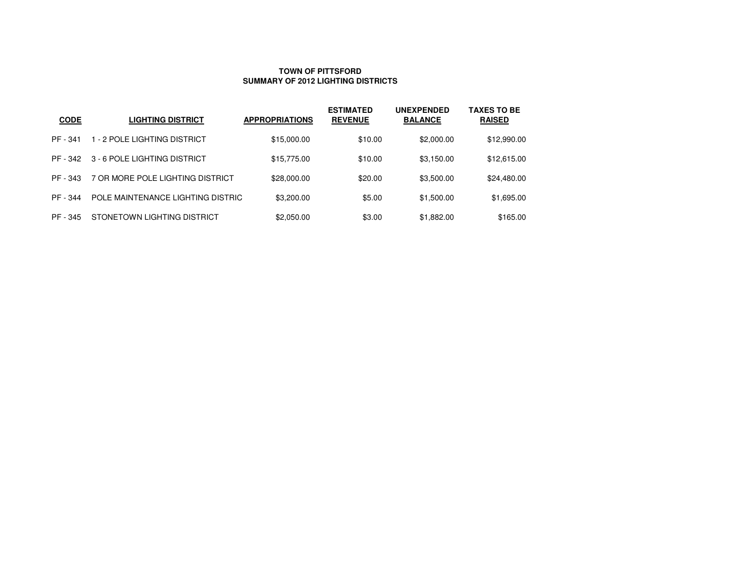#### **TOWN OF PITTSFORDSUMMARY OF 2012 LIGHTING DISTRICTS**

| <b>CODE</b> | <b>LIGHTING DISTRICT</b>          | <b>APPROPRIATIONS</b> | <b>ESTIMATED</b><br><b>REVENUE</b> | <b>UNEXPENDED</b><br><b>BALANCE</b> | <b>TAXES TO BE</b><br><b>RAISED</b> |
|-------------|-----------------------------------|-----------------------|------------------------------------|-------------------------------------|-------------------------------------|
| PF - 341    | 1 - 2 POLE LIGHTING DISTRICT      | \$15,000.00           | \$10.00                            | \$2,000.00                          | \$12,990.00                         |
| PF - 342    | 3 - 6 POLE LIGHTING DISTRICT      | \$15,775.00           | \$10.00                            | \$3,150.00                          | \$12,615.00                         |
| PF - 343    | 7 OR MORE POLE LIGHTING DISTRICT  | \$28,000.00           | \$20.00                            | \$3,500.00                          | \$24,480.00                         |
| PF - 344    | POLE MAINTENANCE LIGHTING DISTRIC | \$3,200.00            | \$5.00                             | \$1,500.00                          | \$1,695.00                          |
| PF - 345    | STONETOWN LIGHTING DISTRICT       | \$2,050.00            | \$3.00                             | \$1,882.00                          | \$165.00                            |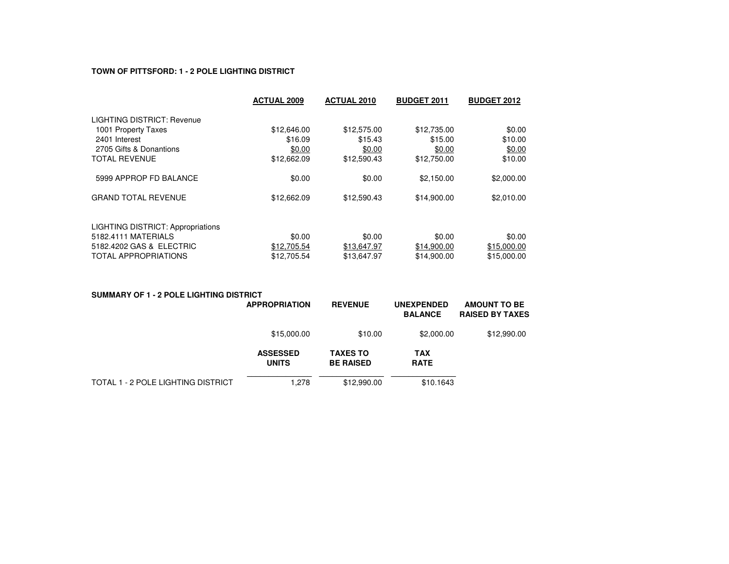# **TOWN OF PITTSFORD: 1 - 2 POLE LIGHTING DISTRICT**

|                                          | <b>ACTUAL 2009</b> | <b>ACTUAL 2010</b> | <b>BUDGET 2011</b> | <b>BUDGET 2012</b> |  |
|------------------------------------------|--------------------|--------------------|--------------------|--------------------|--|
| LIGHTING DISTRICT: Revenue               |                    |                    |                    |                    |  |
| 1001 Property Taxes                      | \$12,646.00        | \$12,575.00        | \$12,735.00        | \$0.00             |  |
| 2401 Interest                            | \$16.09            | \$15.43            | \$15.00            | \$10.00            |  |
| 2705 Gifts & Donantions                  | \$0.00             | \$0.00             | \$0.00             | \$0.00             |  |
| <b>TOTAL REVENUE</b>                     | \$12,662.09        | \$12,590.43        | \$12,750.00        | \$10.00            |  |
| 5999 APPROP FD BALANCE                   | \$0.00             | \$0.00             | \$2,150.00         | \$2,000.00         |  |
| <b>GRAND TOTAL REVENUE</b>               | \$12,662.09        | \$12,590.43        | \$14,900.00        | \$2,010.00         |  |
| <b>LIGHTING DISTRICT: Appropriations</b> |                    |                    |                    |                    |  |
| 5182.4111 MATERIALS                      | \$0.00             | \$0.00             | \$0.00             | \$0.00             |  |
| 5182.4202 GAS & ELECTRIC                 | \$12,705.54        | \$13,647.97        | \$14,900.00        | \$15,000.00        |  |
| <b>TOTAL APPROPRIATIONS</b>              | \$12.705.54        | \$13.647.97        | \$14,900.00        | \$15,000.00        |  |

| SUMMARY OF 1 - 2 POLE LIGHTING DISTRICT |                                 |                                     |                                     |                                               |
|-----------------------------------------|---------------------------------|-------------------------------------|-------------------------------------|-----------------------------------------------|
|                                         | <b>APPROPRIATION</b>            | <b>REVENUE</b>                      | <b>UNEXPENDED</b><br><b>BALANCE</b> | <b>AMOUNT TO BE</b><br><b>RAISED BY TAXES</b> |
|                                         | \$15,000.00                     | \$10.00                             | \$2,000.00                          | \$12,990.00                                   |
|                                         | <b>ASSESSED</b><br><b>UNITS</b> | <b>TAXES TO</b><br><b>BE RAISED</b> | <b>TAX</b><br><b>RATE</b>           |                                               |
| TOTAL 1 - 2 POLE LIGHTING DISTRICT      | .278                            | \$12,990.00                         | \$10.1643                           |                                               |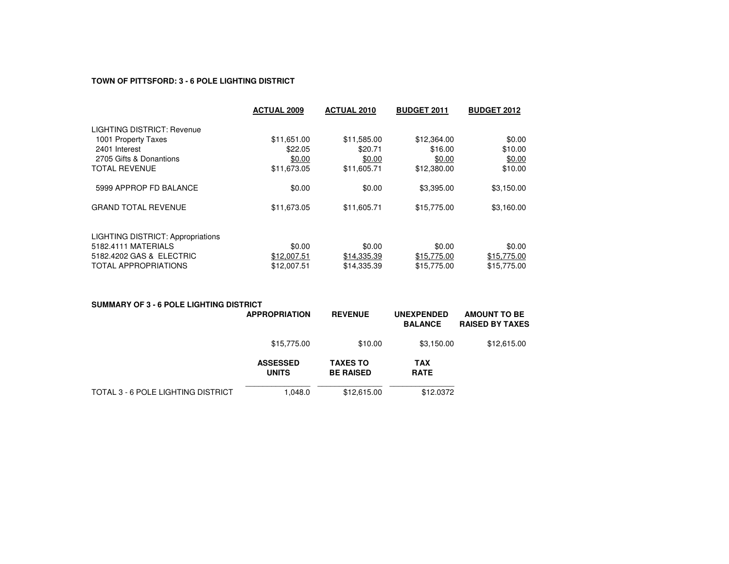# **TOWN OF PITTSFORD: 3 - 6 POLE LIGHTING DISTRICT**

|                                          | <b>ACTUAL 2009</b> | <b>ACTUAL 2010</b> | <b>BUDGET 2011</b> | <b>BUDGET 2012</b> |
|------------------------------------------|--------------------|--------------------|--------------------|--------------------|
| LIGHTING DISTRICT: Revenue               |                    |                    |                    |                    |
| 1001 Property Taxes                      | \$11,651.00        | \$11,585.00        | \$12,364.00        | \$0.00             |
| 2401 Interest                            | \$22.05            | \$20.71            | \$16.00            | \$10.00            |
| 2705 Gifts & Donantions                  | \$0.00             | \$0.00             | \$0.00             | \$0.00             |
| <b>TOTAL REVENUE</b>                     | \$11,673.05        | \$11,605.71        | \$12,380.00        | \$10.00            |
| 5999 APPROP FD BALANCE                   | \$0.00             | \$0.00             | \$3,395.00         | \$3,150.00         |
| <b>GRAND TOTAL REVENUE</b>               | \$11,673.05        | \$11,605.71        | \$15,775.00        | \$3,160.00         |
| <b>LIGHTING DISTRICT: Appropriations</b> |                    |                    |                    |                    |
| 5182.4111 MATERIALS                      | \$0.00             | \$0.00             | \$0.00             | \$0.00             |
| 5182.4202 GAS & ELECTRIC                 | \$12,007.51        | \$14,335.39        | \$15,775.00        | \$15,775.00        |
| <b>TOTAL APPROPRIATIONS</b>              | \$12,007.51        | \$14,335.39        | \$15,775.00        | \$15,775.00        |

| SUMMARY OF 3 - 6 POLE LIGHTING DISTRICT | <b>APPROPRIATION</b>            | <b>REVENUE</b>                      | <b>UNEXPENDED</b><br><b>BALANCE</b> | <b>AMOUNT TO BE</b><br><b>RAISED BY TAXES</b> |
|-----------------------------------------|---------------------------------|-------------------------------------|-------------------------------------|-----------------------------------------------|
|                                         | \$15,775.00                     | \$10.00                             | \$3,150.00                          | \$12,615.00                                   |
|                                         | <b>ASSESSED</b><br><b>UNITS</b> | <b>TAXES TO</b><br><b>BE RAISED</b> | <b>TAX</b><br><b>RATE</b>           |                                               |
| TOTAL 3 - 6 POLE LIGHTING DISTRICT      | 1.048.0                         | \$12,615.00                         | \$12.0372                           |                                               |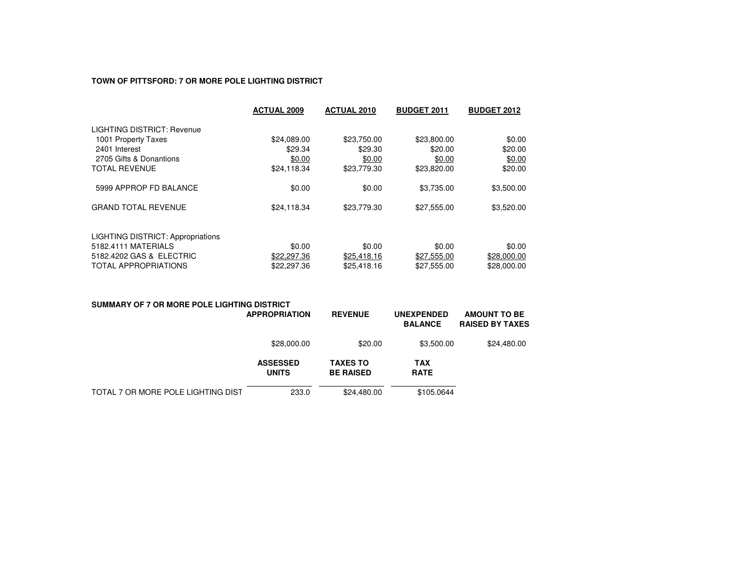#### **TOWN OF PITTSFORD: 7 OR MORE POLE LIGHTING DISTRICT**

|                                          | <b>ACTUAL 2009</b> | <b>ACTUAL 2010</b> | <b>BUDGET 2011</b> | <b>BUDGET 2012</b> |
|------------------------------------------|--------------------|--------------------|--------------------|--------------------|
| LIGHTING DISTRICT: Revenue               |                    |                    |                    |                    |
| 1001 Property Taxes                      | \$24,089.00        | \$23,750.00        | \$23,800.00        | \$0.00             |
| 2401 Interest                            | \$29.34            | \$29.30            | \$20.00            | \$20.00            |
| 2705 Gifts & Donantions                  | \$0.00             | \$0.00             | \$0.00             | \$0.00             |
| <b>TOTAL REVENUE</b>                     | \$24,118.34        | \$23,779.30        | \$23,820.00        | \$20.00            |
| 5999 APPROP FD BALANCE                   | \$0.00             | \$0.00             | \$3,735,00         | \$3,500.00         |
| <b>GRAND TOTAL REVENUE</b>               | \$24,118.34        | \$23,779.30        | \$27,555.00        | \$3,520.00         |
| <b>LIGHTING DISTRICT: Appropriations</b> |                    |                    |                    |                    |
| 5182.4111 MATERIALS                      | \$0.00             | \$0.00             | \$0.00             | \$0.00             |
| 5182.4202 GAS & ELECTRIC                 | \$22,297.36        | \$25,418.16        | \$27,555.00        | \$28,000.00        |
| <b>TOTAL APPROPRIATIONS</b>              | \$22,297.36        | \$25,418.16        | \$27,555.00        | \$28,000.00        |

# **SUMMARY OF 7 OR MORE POLE LIGHTING DISTRICT**

|                                    | <b>APPROPRIATION</b>            | <b>REVENUE</b>                      | <b>UNEXPENDED</b><br><b>BALANCE</b> | <b>AMOUNT TO BE</b><br><b>RAISED BY TAXES</b> |
|------------------------------------|---------------------------------|-------------------------------------|-------------------------------------|-----------------------------------------------|
|                                    | \$28,000.00                     | \$20.00                             | \$3,500.00                          | \$24,480.00                                   |
|                                    | <b>ASSESSED</b><br><b>UNITS</b> | <b>TAXES TO</b><br><b>BE RAISED</b> | <b>TAX</b><br><b>RATE</b>           |                                               |
| TOTAL 7 OR MORE POLE LIGHTING DIST | 233.0                           | \$24,480.00                         | \$105.0644                          |                                               |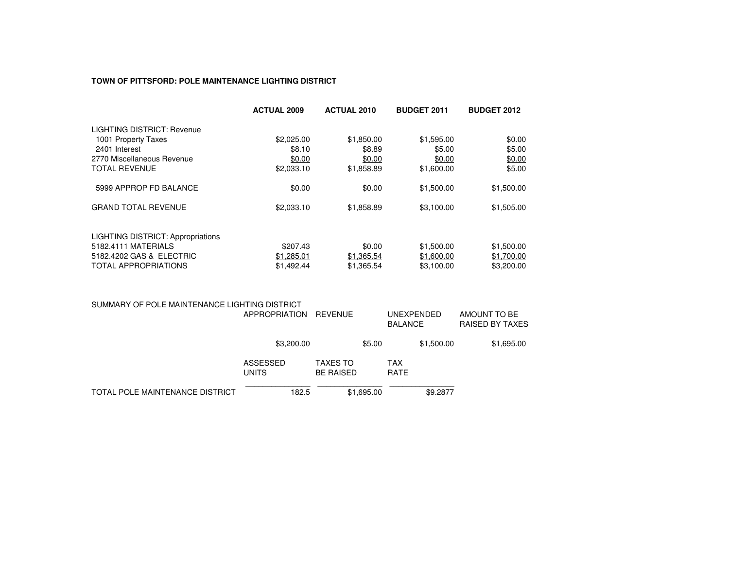# **TOWN OF PITTSFORD: POLE MAINTENANCE LIGHTING DISTRICT**

|                                          | <b>ACTUAL 2009</b> | <b>ACTUAL 2010</b> | <b>BUDGET 2011</b> | <b>BUDGET 2012</b> |
|------------------------------------------|--------------------|--------------------|--------------------|--------------------|
| LIGHTING DISTRICT: Revenue               |                    |                    |                    |                    |
| 1001 Property Taxes                      | \$2,025.00         | \$1,850.00         | \$1,595.00         | \$0.00             |
| 2401 Interest                            | \$8.10             | \$8.89             | \$5.00             | \$5.00             |
| 2770 Miscellaneous Revenue               | \$0.00             | \$0.00             | \$0.00             | \$0.00             |
| <b>TOTAL REVENUE</b>                     | \$2,033.10         | \$1,858.89         | \$1,600.00         | \$5.00             |
| 5999 APPROP FD BALANCE                   | \$0.00             | \$0.00             | \$1,500.00         | \$1,500.00         |
| <b>GRAND TOTAL REVENUE</b>               | \$2,033.10         | \$1,858.89         | \$3,100.00         | \$1,505.00         |
| <b>LIGHTING DISTRICT: Appropriations</b> |                    |                    |                    |                    |
| 5182.4111 MATERIALS                      | \$207.43           | \$0.00             | \$1,500.00         | \$1,500.00         |
| 5182.4202 GAS & ELECTRIC                 | \$1,285.01         | \$1,365.54         | \$1,600.00         | \$1,700.00         |
| <b>TOTAL APPROPRIATIONS</b>              | \$1,492.44         | \$1,365.54         | \$3.100.00         | \$3,200,00         |

| SUMMARY OF POLE MAINTENANCE LIGHTING DISTRICT | APPROPRIATION            | REVENUE |                                     | UNEXPENDED<br><b>BALANCE</b> |                    | AMOUNT TO BE<br><b>RAISED BY TAXES</b> |  |            |
|-----------------------------------------------|--------------------------|---------|-------------------------------------|------------------------------|--------------------|----------------------------------------|--|------------|
|                                               | \$3,200.00               |         |                                     | \$5.00                       |                    | \$1,500.00                             |  | \$1,695.00 |
|                                               | ASSESSED<br><b>UNITS</b> |         | <b>TAXES TO</b><br><b>BE RAISED</b> |                              | TAX<br><b>RATE</b> |                                        |  |            |
| TOTAL POLE MAINTENANCE DISTRICT               |                          | 182.5   |                                     | \$1,695.00                   |                    | \$9.2877                               |  |            |